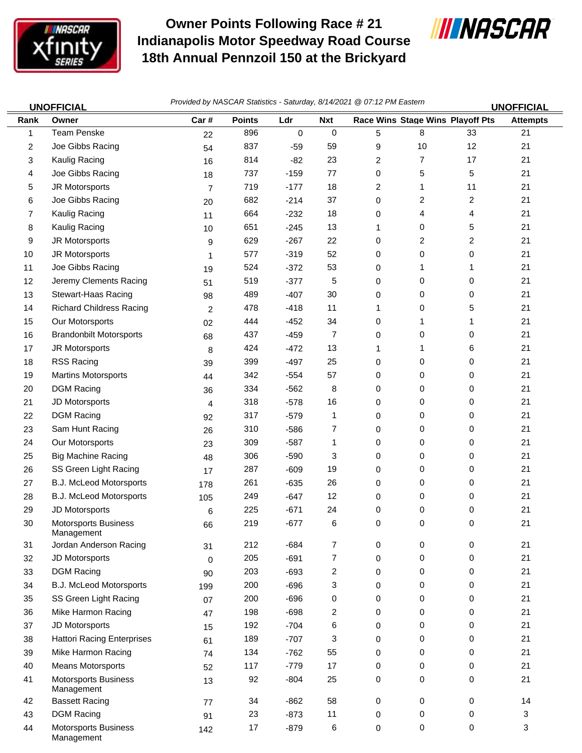

## **Owner Points Following Race # 21 Indianapolis Motor Speedway Road Course 18th Annual Pennzoil 150 at the Brickyard**



| <b>UNOFFICIAL</b> |                                           | Provided by NASCAR Statistics - Saturday, 8/14/2021 @ 07:12 PM Eastern<br><b>UNOFFICIAL</b> |               |        |             |                |    |                                         |                 |
|-------------------|-------------------------------------------|---------------------------------------------------------------------------------------------|---------------|--------|-------------|----------------|----|-----------------------------------------|-----------------|
| Rank              | Owner                                     | Car#                                                                                        | <b>Points</b> | Ldr    | <b>Nxt</b>  |                |    | <b>Race Wins Stage Wins Playoff Pts</b> | <b>Attempts</b> |
| 1                 | Team Penske                               | 22                                                                                          | 896           | 0      | $\mathbf 0$ | 5              | 8  | 33                                      | 21              |
| 2                 | Joe Gibbs Racing                          | 54                                                                                          | 837           | $-59$  | 59          | 9              | 10 | 12                                      | 21              |
| 3                 | Kaulig Racing                             | 16                                                                                          | 814           | $-82$  | 23          | $\overline{c}$ | 7  | 17                                      | 21              |
| 4                 | Joe Gibbs Racing                          | 18                                                                                          | 737           | $-159$ | 77          | 0              | 5  | 5                                       | 21              |
| 5                 | JR Motorsports                            | $\overline{7}$                                                                              | 719           | $-177$ | 18          | 2              | 1  | 11                                      | 21              |
| 6                 | Joe Gibbs Racing                          | 20                                                                                          | 682           | $-214$ | 37          | 0              | 2  | $\overline{\mathbf{c}}$                 | 21              |
| 7                 | Kaulig Racing                             | 11                                                                                          | 664           | $-232$ | 18          | 0              | 4  | 4                                       | 21              |
| 8                 | Kaulig Racing                             | 10                                                                                          | 651           | $-245$ | 13          | 1              | 0  | 5                                       | 21              |
| 9                 | JR Motorsports                            | 9                                                                                           | 629           | $-267$ | 22          | 0              | 2  | 2                                       | 21              |
| 10                | JR Motorsports                            | 1                                                                                           | 577           | $-319$ | 52          | 0              | 0  | 0                                       | 21              |
| 11                | Joe Gibbs Racing                          | 19                                                                                          | 524           | $-372$ | 53          | 0              | 1  | 1                                       | 21              |
| 12                | Jeremy Clements Racing                    | 51                                                                                          | 519           | $-377$ | 5           | 0              | 0  | 0                                       | 21              |
| 13                | <b>Stewart-Haas Racing</b>                | 98                                                                                          | 489           | $-407$ | 30          | 0              | 0  | 0                                       | 21              |
| 14                | <b>Richard Childress Racing</b>           | 2                                                                                           | 478           | $-418$ | 11          | 1              | 0  | 5                                       | 21              |
| 15                | Our Motorsports                           | 02                                                                                          | 444           | $-452$ | 34          | 0              | 1  | 1                                       | 21              |
| 16                | <b>Brandonbilt Motorsports</b>            | 68                                                                                          | 437           | $-459$ | 7           | 0              | 0  | 0                                       | 21              |
| 17                | JR Motorsports                            | 8                                                                                           | 424           | $-472$ | 13          | 1              | 1  | 6                                       | 21              |
| 18                | RSS Racing                                | 39                                                                                          | 399           | $-497$ | 25          | 0              | 0  | 0                                       | 21              |
| 19                | <b>Martins Motorsports</b>                | 44                                                                                          | 342           | $-554$ | 57          | 0              | 0  | 0                                       | 21              |
| 20                | <b>DGM Racing</b>                         | 36                                                                                          | 334           | $-562$ | 8           | 0              | 0  | 0                                       | 21              |
| 21                | JD Motorsports                            | 4                                                                                           | 318           | $-578$ | 16          | 0              | 0  | 0                                       | 21              |
| 22                | <b>DGM Racing</b>                         | 92                                                                                          | 317           | $-579$ | 1           | 0              | 0  | 0                                       | 21              |
| 23                | Sam Hunt Racing                           | 26                                                                                          | 310           | $-586$ | 7           | 0              | 0  | 0                                       | 21              |
| 24                | Our Motorsports                           | 23                                                                                          | 309           | $-587$ | 1           | 0              | 0  | 0                                       | 21              |
| 25                | <b>Big Machine Racing</b>                 | 48                                                                                          | 306           | $-590$ | 3           | 0              | 0  | 0                                       | 21              |
| 26                | SS Green Light Racing                     | 17                                                                                          | 287           | $-609$ | 19          | 0              | 0  | 0                                       | 21              |
| 27                | <b>B.J. McLeod Motorsports</b>            | 178                                                                                         | 261           | $-635$ | 26          | 0              | 0  | 0                                       | 21              |
| 28                | B.J. McLeod Motorsports                   | 105                                                                                         | 249           | $-647$ | 12          | 0              | 0  | 0                                       | 21              |
| 29                | JD Motorsports                            | 6                                                                                           | 225           | $-671$ | 24          | 0              | 0  | 0                                       | 21              |
| 30                | Motorsports Business<br>Management        | 66                                                                                          | 219           | $-677$ | 6           | $\Omega$       | 0  | 0                                       | 21              |
| 31                | Jordan Anderson Racing                    | 31                                                                                          | 212           | $-684$ | 7           | 0              | 0  | 0                                       | 21              |
| 32                | JD Motorsports                            | 0                                                                                           | 205           | $-691$ | 7           | 0              | 0  | 0                                       | 21              |
| 33                | <b>DGM Racing</b>                         | 90                                                                                          | 203           | $-693$ | 2           | 0              | 0  | 0                                       | 21              |
| 34                | <b>B.J. McLeod Motorsports</b>            | 199                                                                                         | 200           | $-696$ | 3           | 0              | 0  | 0                                       | 21              |
| 35                | SS Green Light Racing                     | 07                                                                                          | 200           | $-696$ | 0           | 0              | 0  | 0                                       | 21              |
| 36                | Mike Harmon Racing                        | 47                                                                                          | 198           | $-698$ | 2           | 0              | 0  | 0                                       | 21              |
| 37                | JD Motorsports                            | 15                                                                                          | 192           | $-704$ | 6           | 0              | 0  | 0                                       | 21              |
| 38                | <b>Hattori Racing Enterprises</b>         | 61                                                                                          | 189           | $-707$ | 3           | 0              | 0  | 0                                       | 21              |
| 39                | Mike Harmon Racing                        | 74                                                                                          | 134           | $-762$ | 55          | 0              | 0  | 0                                       | 21              |
| 40                | <b>Means Motorsports</b>                  | 52                                                                                          | 117           | $-779$ | 17          | 0              | 0  | 0                                       | 21              |
| 41                | <b>Motorsports Business</b><br>Management | 13                                                                                          | 92            | $-804$ | 25          | 0              | 0  | 0                                       | 21              |
| 42                | <b>Bassett Racing</b>                     | 77                                                                                          | 34            | $-862$ | 58          | 0              | 0  | 0                                       | 14              |
| 43                | <b>DGM Racing</b>                         | 91                                                                                          | 23            | $-873$ | 11          | 0              | 0  | 0                                       | 3               |
| 44                | Motorsports Business<br>Management        | 142                                                                                         | 17            | $-879$ | 6           | $\mathbf 0$    | 0  | 0                                       | 3               |